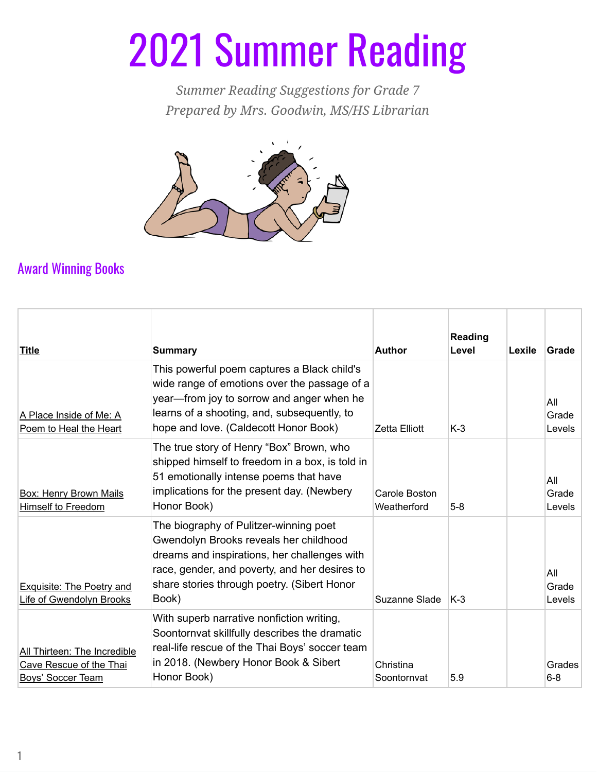## 2021 Summer Reading

*Summer Reading Suggestions for Grade 7 Prepared by Mrs. Goodwin, MS/HS Librarian*



## Award Winning Books

| <b>Title</b>                                                                        | <b>Summary</b>                                                                                                                                                                                                                            | <b>Author</b>                | Reading<br>Level | Lexile | Grade                  |
|-------------------------------------------------------------------------------------|-------------------------------------------------------------------------------------------------------------------------------------------------------------------------------------------------------------------------------------------|------------------------------|------------------|--------|------------------------|
| A Place Inside of Me: A<br>Poem to Heal the Heart                                   | This powerful poem captures a Black child's<br>wide range of emotions over the passage of a<br>year—from joy to sorrow and anger when he<br>learns of a shooting, and, subsequently, to<br>hope and love. (Caldecott Honor Book)          | <b>Zetta Elliott</b>         | $K-3$            |        | All<br>Grade<br>Levels |
| <b>Box: Henry Brown Mails</b><br><b>Himself to Freedom</b>                          | The true story of Henry "Box" Brown, who<br>shipped himself to freedom in a box, is told in<br>51 emotionally intense poems that have<br>implications for the present day. (Newbery<br>Honor Book)                                        | Carole Boston<br>Weatherford | $5-8$            |        | All<br>Grade<br>Levels |
| <b>Exquisite: The Poetry and</b><br>Life of Gwendolyn Brooks                        | The biography of Pulitzer-winning poet<br>Gwendolyn Brooks reveals her childhood<br>dreams and inspirations, her challenges with<br>race, gender, and poverty, and her desires to<br>share stories through poetry. (Sibert Honor<br>Book) | Suzanne Slade                | $K-3$            |        | All<br>Grade<br>Levels |
| All Thirteen: The Incredible<br>Cave Rescue of the Thai<br><b>Boys' Soccer Team</b> | With superb narrative nonfiction writing,<br>Soontornvat skillfully describes the dramatic<br>real-life rescue of the Thai Boys' soccer team<br>in 2018. (Newbery Honor Book & Sibert<br>Honor Book)                                      | Christina<br>Soontornvat     | 5.9              |        | Grades<br>$6 - 8$      |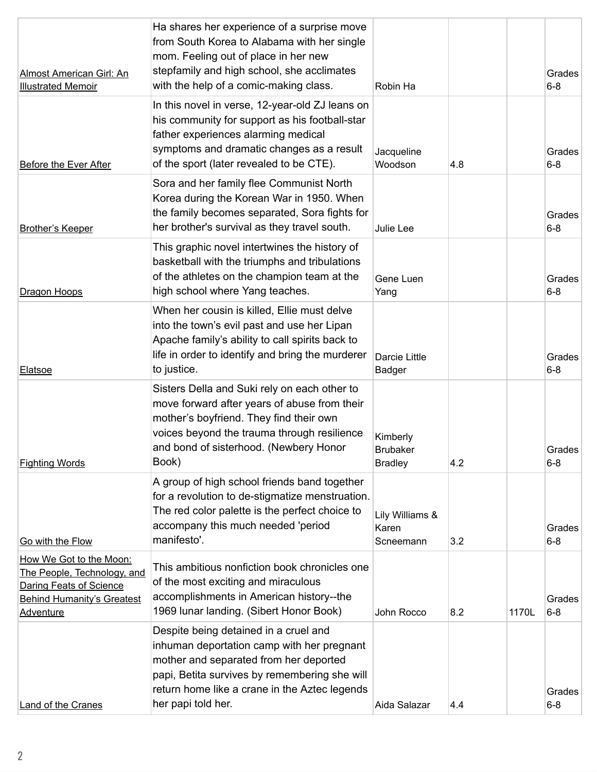| <b>Almost American Girl: An</b><br><b>Illustrated Memoir</b>                                                                               | Ha shares her experience of a surprise move<br>from South Korea to Alabama with her single<br>mom. Feeling out of place in her new<br>stepfamily and high school, she acclimates<br>with the help of a comic-making class.                            | Robin Ha                                      |     |       | Grades<br>$6 - 8$ |
|--------------------------------------------------------------------------------------------------------------------------------------------|-------------------------------------------------------------------------------------------------------------------------------------------------------------------------------------------------------------------------------------------------------|-----------------------------------------------|-----|-------|-------------------|
| <b>Before the Ever After</b>                                                                                                               | In this novel in verse, 12-year-old ZJ leans on<br>his community for support as his football-star<br>father experiences alarming medical<br>symptoms and dramatic changes as a result<br>of the sport (later revealed to be CTE).                     | Jacqueline<br>Woodson                         | 4.8 |       | Grades<br>$6 - 8$ |
| <b>Brother's Keeper</b>                                                                                                                    | Sora and her family flee Communist North<br>Korea during the Korean War in 1950. When<br>the family becomes separated, Sora fights for<br>her brother's survival as they travel south.                                                                | Julie Lee                                     |     |       | Grades<br>$6 - 8$ |
| Dragon Hoops                                                                                                                               | This graphic novel intertwines the history of<br>basketball with the triumphs and tribulations<br>of the athletes on the champion team at the<br>high school where Yang teaches.                                                                      | Gene Luen<br>Yang                             |     |       | Grades<br>$6 - 8$ |
| <b>Elatsoe</b>                                                                                                                             | When her cousin is killed, Ellie must delve<br>into the town's evil past and use her Lipan<br>Apache family's ability to call spirits back to<br>life in order to identify and bring the murderer<br>to justice.                                      | Darcie Little<br>Badger                       |     |       | Grades<br>$6 - 8$ |
| <b>Fighting Words</b>                                                                                                                      | Sisters Della and Suki rely on each other to<br>move forward after years of abuse from their<br>mother's boyfriend. They find their own<br>voices beyond the trauma through resilience<br>and bond of sisterhood. (Newbery Honor<br>Book)             | Kimberly<br><b>Brubaker</b><br><b>Bradley</b> | 4.2 |       | Grades<br>$6 - 8$ |
| Go with the Flow                                                                                                                           | A group of high school friends band together<br>for a revolution to de-stigmatize menstruation.<br>The red color palette is the perfect choice to<br>accompany this much needed 'period<br>manifesto'.                                                | Lily Williams &<br>Karen<br>Scneemann         | 3.2 |       | Grades<br>$6 - 8$ |
| How We Got to the Moon:<br>The People, Technology, and<br>Daring Feats of Science<br><b>Behind Humanity's Greatest</b><br><b>Adventure</b> | This ambitious nonfiction book chronicles one<br>of the most exciting and miraculous<br>accomplishments in American history--the<br>1969 Iunar landing. (Sibert Honor Book)                                                                           | John Rocco                                    | 8.2 | 1170L | Grades<br>$6 - 8$ |
| <b>Land of the Cranes</b>                                                                                                                  | Despite being detained in a cruel and<br>inhuman deportation camp with her pregnant<br>mother and separated from her deported<br>papi, Betita survives by remembering she will<br>return home like a crane in the Aztec legends<br>her papi told her. | Aida Salazar                                  | 4.4 |       | Grades<br>$6 - 8$ |